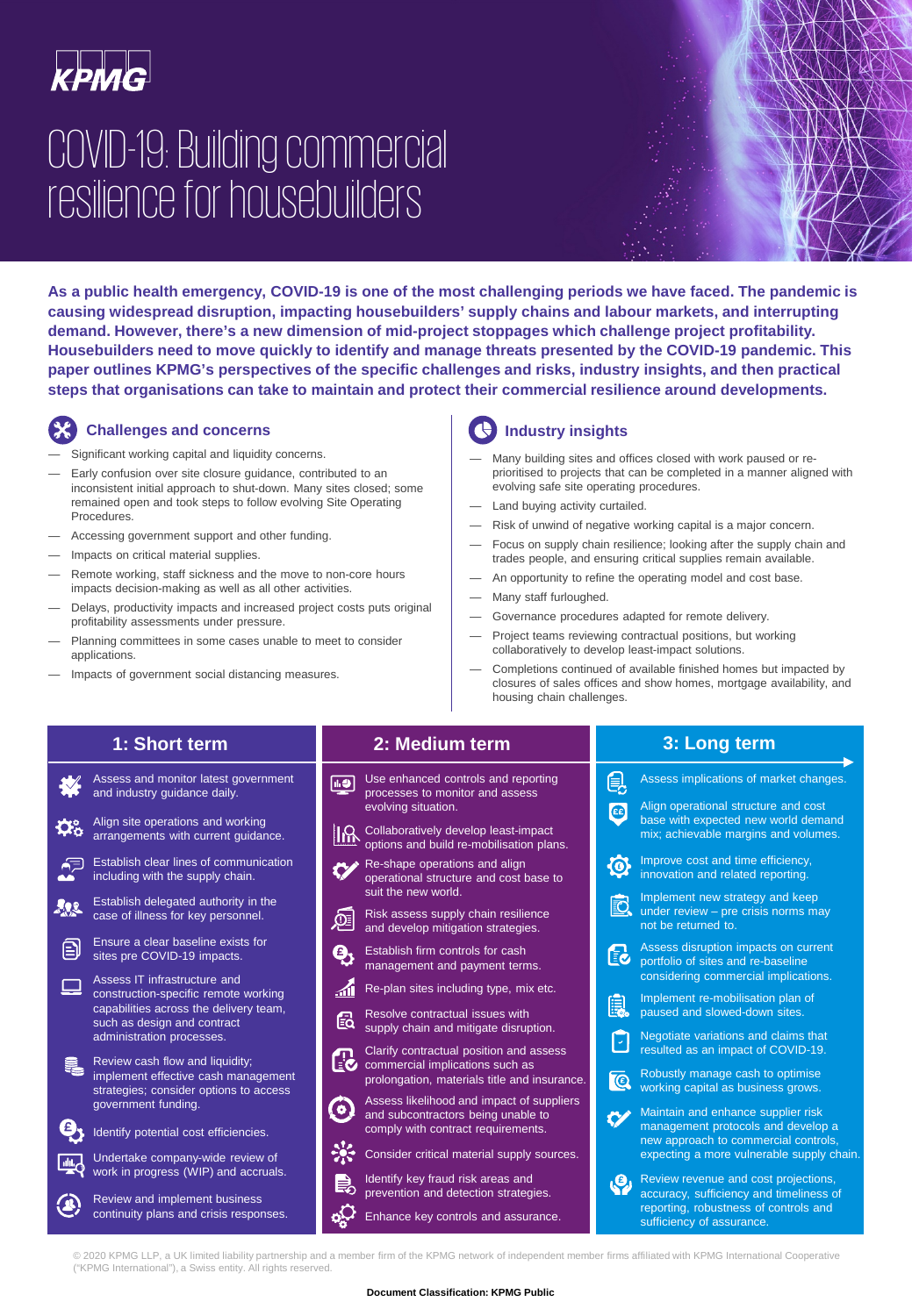

# COVID-19: Building commercial resilience for housebuilders

**As a public health emergency, COVID-19 is one of the most challenging periods we have faced. The pandemic is causing widespread disruption, impacting housebuilders' supply chains and labour markets, and interrupting demand. However, there's a new dimension of mid-project stoppages which challenge project profitability. Housebuilders need to move quickly to identify and manage threats presented by the COVID-19 pandemic. This paper outlines KPMG's perspectives of the specific challenges and risks, industry insights, and then practical steps that organisations can take to maintain and protect their commercial resilience around developments.**

## **Challenges and concerns**

- Significant working capital and liquidity concerns.
- Early confusion over site closure guidance, contributed to an inconsistent initial approach to shut-down. Many sites closed; some remained open and took steps to follow evolving Site Operating Procedures.
- Accessing government support and other funding.
- Impacts on critical material supplies.
- Remote working, staff sickness and the move to non-core hours impacts decision-making as well as all other activities.
- Delays, productivity impacts and increased project costs puts original profitability assessments under pressure.
- Planning committees in some cases unable to meet to consider applications.
- Impacts of government social distancing measures.

## **Industry insights**

- Many building sites and offices closed with work paused or reprioritised to projects that can be completed in a manner aligned with evolving safe site operating procedures.
- Land buying activity curtailed.
- Risk of unwind of negative working capital is a major concern.
- Focus on supply chain resilience; looking after the supply chain and trades people, and ensuring critical supplies remain available.
- An opportunity to refine the operating model and cost base.
- Many staff furloughed.
- Governance procedures adapted for remote delivery.
- Project teams reviewing contractual positions, but working collaboratively to develop least-impact solutions.
- Completions continued of available finished homes but impacted by closures of sales offices and show homes, mortgage availability, and housing chain challenges.

## **1: Short term**

Assess and monitor latest government and industry guidance daily. Align site operations and working Đ. arrangements with current guidance. Establish clear lines of communication ெ including with the supply chain. Establish delegated authority in the 192 case of illness for key personnel. Ensure a clear baseline exists for 曰 sites pre COVID-19 impacts. Assess IT infrastructure and  $\mathcal{L}_{\mathcal{A}}$ construction-specific remote working capabilities across the delivery team, such as design and contract administration processes. Review cash flow and liquidity; implement effective cash management strategies; consider options to access government funding. Θ, Identify potential cost efficiencies. Undertake company-wide review of **Tables** work in progress (WIP) and accruals. Review and implement business continuity plans and crisis responses.

### **2: Medium term**

- Use enhanced controls and reporting 间 processes to monitor and assess evolving situation.
- Collaboratively develop least-impact options and build re-mobilisation plans.
- Re-shape operations and align operational structure and cost base to suit the new world.
- Risk assess supply chain resilience and develop mitigation strategies.
- Establish firm controls for cash management and payment terms.
- Re-plan sites including type, mix etc.
- Resolve contractual issues with
- 鼠 supply chain and mitigate disruption.
- Clarify contractual position and assess commercial implications such as prolongation, materials title and insurance.
- Assess likelihood and impact of suppliers and subcontractors being unable to comply with contract requirements.
- Consider critical material supply sources.
- Identify key fraud risk areas and prevention and detection strategies.
- Enhance key controls and assurance.

**3: Long term** 

| 見                       | Assess implications of market changes.                                                                                                                        |
|-------------------------|---------------------------------------------------------------------------------------------------------------------------------------------------------------|
| $\overline{\mathbf{G}}$ | Align operational structure and cost<br>base with expected new world demand<br>mix; achievable margins and volumes.                                           |
| $\mathbf G$             | Improve cost and time efficiency,<br>innovation and related reporting.                                                                                        |
| ð                       | Implement new strategy and keep<br>under review $-$ pre crisis norms may<br>not be returned to.                                                               |
| Eċ                      | Assess disruption impacts on current<br>portfolio of sites and re-baseline<br>considering commercial implications.                                            |
| 鼠                       | Implement re-mobilisation plan of<br>paused and slowed-down sites.                                                                                            |
| Γ                       | Negotiate variations and claims that<br>resulted as an impact of COVID-19.                                                                                    |
| $\overline{\mathbb{C}}$ | Robustly manage cash to optimise<br>working capital as business grows.                                                                                        |
|                         | Maintain and enhance supplier risk<br>management protocols and develop a<br>new approach to commercial controls,<br>expecting a more vulnerable supply chain. |
|                         | Review revenue and cost projections,<br>accuracy, sufficiency and timeliness of<br>reporting, robustness of controls and<br>sufficiency of assurance.         |

© 2020 KPMG LLP, a UK limited liability partnership and a member firm of the KPMG network of independent member firms affiliated with KPMG International Cooperative ("KPMG International"), a Swiss entity. All rights reserved.